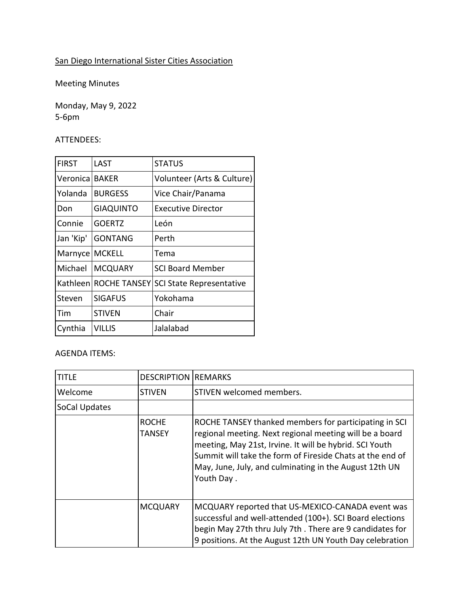## San Diego International Sister Cities Association

Meeting Minutes

Monday, May 9, 2022 5-6pm

## ATTENDEES:

| <b>FIRST</b> | LAST                | <b>STATUS</b>                   |
|--------------|---------------------|---------------------------------|
| Veronica     | <b>BAKER</b>        | Volunteer (Arts & Culture)      |
| Yolanda      | <b>BURGESS</b>      | Vice Chair/Panama               |
| Don          | <b>GIAQUINTO</b>    | Executive Director              |
| Connie       | <b>GOERTZ</b>       | León                            |
| Jan 'Kip'    | <b>GONTANG</b>      | Perth                           |
| Marnyce      | <b>MCKELL</b>       | Tema                            |
| Michael      | <b>MCQUARY</b>      | <b>SCI Board Member</b>         |
| Kathleenl    | <b>ROCHE TANSEY</b> | <b>SCI State Representative</b> |
| Steven       | <b>SIGAFUS</b>      | Yokohama                        |
| Tim          | <b>STIVEN</b>       | Chair                           |
| Cynthia      | Villis              | Jalalabad                       |

## AGENDA ITEMS:

| title         | <b>DESCRIPTION REMARKS</b> |                                                                                                                                                                                                                                                                                                                  |
|---------------|----------------------------|------------------------------------------------------------------------------------------------------------------------------------------------------------------------------------------------------------------------------------------------------------------------------------------------------------------|
| Welcome       | <b>STIVEN</b>              | STIVEN welcomed members.                                                                                                                                                                                                                                                                                         |
| SoCal Updates |                            |                                                                                                                                                                                                                                                                                                                  |
|               | <b>ROCHE</b><br>TANSEY     | ROCHE TANSEY thanked members for participating in SCI<br>regional meeting. Next regional meeting will be a board<br>meeting, May 21st, Irvine. It will be hybrid. SCI Youth<br>Summit will take the form of Fireside Chats at the end of<br>May, June, July, and culminating in the August 12th UN<br>Youth Day. |
|               | <b>MCQUARY</b>             | MCQUARY reported that US-MEXICO-CANADA event was<br>successful and well-attended (100+). SCI Board elections<br>begin May 27th thru July 7th. There are 9 candidates for<br>9 positions. At the August 12th UN Youth Day celebration                                                                             |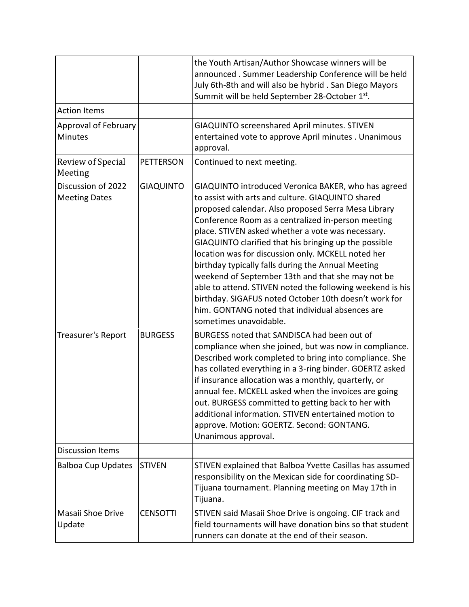|                                            |                  | the Youth Artisan/Author Showcase winners will be<br>announced. Summer Leadership Conference will be held<br>July 6th-8th and will also be hybrid. San Diego Mayors<br>Summit will be held September 28-October 1st.                                                                                                                                                                                                                                                                                                                                                                                                                                                                                    |
|--------------------------------------------|------------------|---------------------------------------------------------------------------------------------------------------------------------------------------------------------------------------------------------------------------------------------------------------------------------------------------------------------------------------------------------------------------------------------------------------------------------------------------------------------------------------------------------------------------------------------------------------------------------------------------------------------------------------------------------------------------------------------------------|
| <b>Action Items</b>                        |                  |                                                                                                                                                                                                                                                                                                                                                                                                                                                                                                                                                                                                                                                                                                         |
| Approval of February<br><b>Minutes</b>     |                  | GIAQUINTO screenshared April minutes. STIVEN<br>entertained vote to approve April minutes . Unanimous<br>approval.                                                                                                                                                                                                                                                                                                                                                                                                                                                                                                                                                                                      |
| Review of Special<br>Meeting               | <b>PETTERSON</b> | Continued to next meeting.                                                                                                                                                                                                                                                                                                                                                                                                                                                                                                                                                                                                                                                                              |
| Discussion of 2022<br><b>Meeting Dates</b> | <b>GIAQUINTO</b> | GIAQUINTO introduced Veronica BAKER, who has agreed<br>to assist with arts and culture. GIAQUINTO shared<br>proposed calendar. Also proposed Serra Mesa Library<br>Conference Room as a centralized in-person meeting<br>place. STIVEN asked whether a vote was necessary.<br>GIAQUINTO clarified that his bringing up the possible<br>location was for discussion only. MCKELL noted her<br>birthday typically falls during the Annual Meeting<br>weekend of September 13th and that she may not be<br>able to attend. STIVEN noted the following weekend is his<br>birthday. SIGAFUS noted October 10th doesn't work for<br>him. GONTANG noted that individual absences are<br>sometimes unavoidable. |
| Treasurer's Report                         | <b>BURGESS</b>   | BURGESS noted that SANDISCA had been out of<br>compliance when she joined, but was now in compliance.<br>Described work completed to bring into compliance. She<br>has collated everything in a 3-ring binder. GOERTZ asked<br>if insurance allocation was a monthly, quarterly, or<br>annual fee. MCKELL asked when the invoices are going<br>out. BURGESS committed to getting back to her with<br>additional information. STIVEN entertained motion to<br>approve. Motion: GOERTZ. Second: GONTANG.<br>Unanimous approval.                                                                                                                                                                           |
| <b>Discussion Items</b>                    |                  |                                                                                                                                                                                                                                                                                                                                                                                                                                                                                                                                                                                                                                                                                                         |
| <b>Balboa Cup Updates</b>                  | <b>STIVEN</b>    | STIVEN explained that Balboa Yvette Casillas has assumed<br>responsibility on the Mexican side for coordinating SD-<br>Tijuana tournament. Planning meeting on May 17th in<br>Tijuana.                                                                                                                                                                                                                                                                                                                                                                                                                                                                                                                  |
| Masaii Shoe Drive<br>Update                | <b>CENSOTTI</b>  | STIVEN said Masaii Shoe Drive is ongoing. CIF track and<br>field tournaments will have donation bins so that student<br>runners can donate at the end of their season.                                                                                                                                                                                                                                                                                                                                                                                                                                                                                                                                  |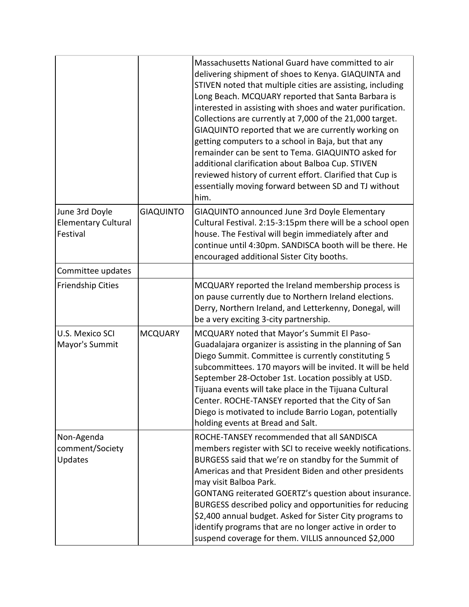|                                                          |                  | Massachusetts National Guard have committed to air<br>delivering shipment of shoes to Kenya. GIAQUINTA and<br>STIVEN noted that multiple cities are assisting, including<br>Long Beach. MCQUARY reported that Santa Barbara is<br>interested in assisting with shoes and water purification.<br>Collections are currently at 7,000 of the 21,000 target.<br>GIAQUINTO reported that we are currently working on<br>getting computers to a school in Baja, but that any<br>remainder can be sent to Tema. GIAQUINTO asked for<br>additional clarification about Balboa Cup. STIVEN<br>reviewed history of current effort. Clarified that Cup is<br>essentially moving forward between SD and TJ without<br>him. |
|----------------------------------------------------------|------------------|----------------------------------------------------------------------------------------------------------------------------------------------------------------------------------------------------------------------------------------------------------------------------------------------------------------------------------------------------------------------------------------------------------------------------------------------------------------------------------------------------------------------------------------------------------------------------------------------------------------------------------------------------------------------------------------------------------------|
| June 3rd Doyle<br><b>Elementary Cultural</b><br>Festival | <b>GIAQUINTO</b> | GIAQUINTO announced June 3rd Doyle Elementary<br>Cultural Festival. 2:15-3:15pm there will be a school open<br>house. The Festival will begin immediately after and<br>continue until 4:30pm. SANDISCA booth will be there. He<br>encouraged additional Sister City booths.                                                                                                                                                                                                                                                                                                                                                                                                                                    |
| Committee updates                                        |                  |                                                                                                                                                                                                                                                                                                                                                                                                                                                                                                                                                                                                                                                                                                                |
| <b>Friendship Cities</b>                                 |                  | MCQUARY reported the Ireland membership process is<br>on pause currently due to Northern Ireland elections.<br>Derry, Northern Ireland, and Letterkenny, Donegal, will<br>be a very exciting 3-city partnership.                                                                                                                                                                                                                                                                                                                                                                                                                                                                                               |
| U.S. Mexico SCI<br>Mayor's Summit                        | <b>MCQUARY</b>   | MCQUARY noted that Mayor's Summit El Paso-<br>Guadalajara organizer is assisting in the planning of San<br>Diego Summit. Committee is currently constituting 5<br>subcommittees. 170 mayors will be invited. It will be held<br>September 28-October 1st. Location possibly at USD.<br>Tijuana events will take place in the Tijuana Cultural<br>Center. ROCHE-TANSEY reported that the City of San<br>Diego is motivated to include Barrio Logan, potentially<br>holding events at Bread and Salt.                                                                                                                                                                                                            |
| Non-Agenda<br>comment/Society<br>Updates                 |                  | ROCHE-TANSEY recommended that all SANDISCA<br>members register with SCI to receive weekly notifications.<br>BURGESS said that we're on standby for the Summit of<br>Americas and that President Biden and other presidents<br>may visit Balboa Park.<br>GONTANG reiterated GOERTZ's question about insurance.<br>BURGESS described policy and opportunities for reducing<br>\$2,400 annual budget. Asked for Sister City programs to<br>identify programs that are no longer active in order to<br>suspend coverage for them. VILLIS announced \$2,000                                                                                                                                                         |